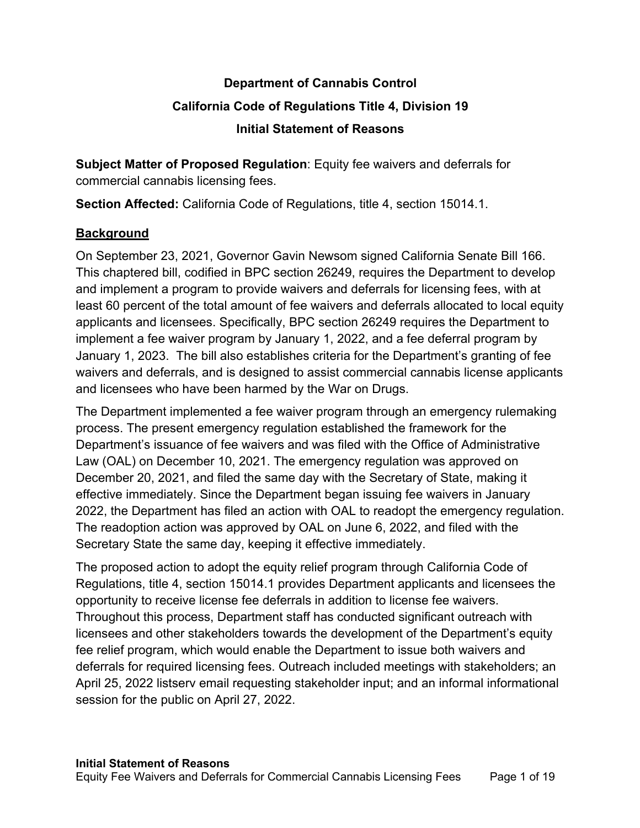# **Department of Cannabis Control California Code of Regulations Title 4, Division 19 Initial Statement of Reasons**

**Subject Matter of Proposed Regulation**: Equity fee waivers and deferrals for commercial cannabis licensing fees.

**Section Affected:** California Code of Regulations, title 4, section 15014.1.

# **Background**

On September 23, 2021, Governor Gavin Newsom signed California Senate Bill 166. This chaptered bill, codified in BPC section 26249, requires the Department to develop and implement a program to provide waivers and deferrals for licensing fees, with at least 60 percent of the total amount of fee waivers and deferrals allocated to local equity applicants and licensees. Specifically, BPC section 26249 requires the Department to implement a fee waiver program by January 1, 2022, and a fee deferral program by January 1, 2023. The bill also establishes criteria for the Department's granting of fee waivers and deferrals, and is designed to assist commercial cannabis license applicants and licensees who have been harmed by the War on Drugs.

The Department implemented a fee waiver program through an emergency rulemaking process. The present emergency regulation established the framework for the Department's issuance of fee waivers and was filed with the Office of Administrative Law (OAL) on December 10, 2021. The emergency regulation was approved on December 20, 2021, and filed the same day with the Secretary of State, making it effective immediately. Since the Department began issuing fee waivers in January 2022, the Department has filed an action with OAL to readopt the emergency regulation. The readoption action was approved by OAL on June 6, 2022, and filed with the Secretary State the same day, keeping it effective immediately.

The proposed action to adopt the equity relief program through California Code of Regulations, title 4, section 15014.1 provides Department applicants and licensees the opportunity to receive license fee deferrals in addition to license fee waivers. Throughout this process, Department staff has conducted significant outreach with licensees and other stakeholders towards the development of the Department's equity fee relief program, which would enable the Department to issue both waivers and deferrals for required licensing fees. Outreach included meetings with stakeholders; an April 25, 2022 listserv email requesting stakeholder input; and an informal informational session for the public on April 27, 2022.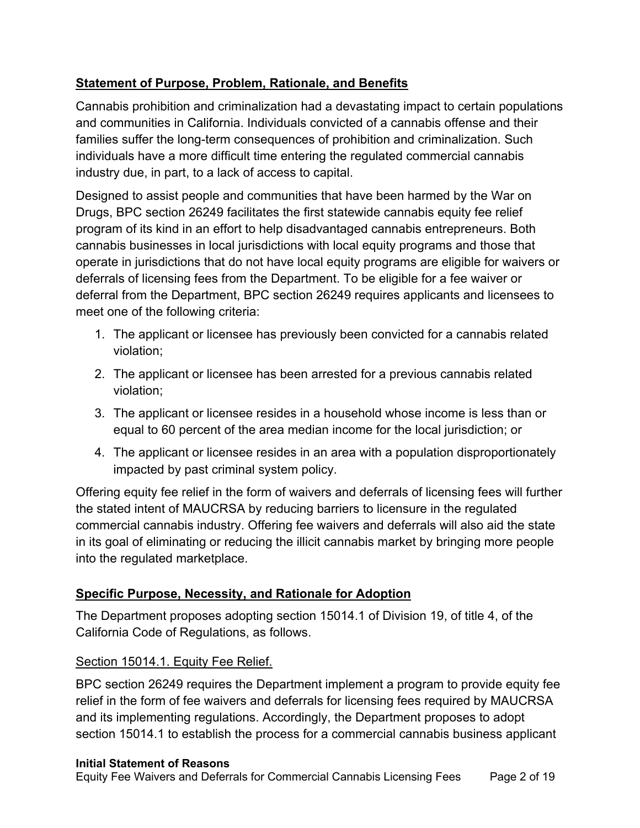# **Statement of Purpose, Problem, Rationale, and Benefits**

Cannabis prohibition and criminalization had a devastating impact to certain populations and communities in California. Individuals convicted of a cannabis offense and their families suffer the long-term consequences of prohibition and criminalization. Such individuals have a more difficult time entering the regulated commercial cannabis industry due, in part, to a lack of access to capital.

Designed to assist people and communities that have been harmed by the War on Drugs, BPC section 26249 facilitates the first statewide cannabis equity fee relief program of its kind in an effort to help disadvantaged cannabis entrepreneurs. Both cannabis businesses in local jurisdictions with local equity programs and those that operate in jurisdictions that do not have local equity programs are eligible for waivers or deferrals of licensing fees from the Department. To be eligible for a fee waiver or deferral from the Department, BPC section 26249 requires applicants and licensees to meet one of the following criteria:

- 1. The applicant or licensee has previously been convicted for a cannabis related violation;
- 2. The applicant or licensee has been arrested for a previous cannabis related violation;
- 3. The applicant or licensee resides in a household whose income is less than or equal to 60 percent of the area median income for the local jurisdiction; or
- 4. The applicant or licensee resides in an area with a population disproportionately impacted by past criminal system policy.

Offering equity fee relief in the form of waivers and deferrals of licensing fees will further the stated intent of MAUCRSA by reducing barriers to licensure in the regulated commercial cannabis industry. Offering fee waivers and deferrals will also aid the state in its goal of eliminating or reducing the illicit cannabis market by bringing more people into the regulated marketplace.

### **Specific Purpose, Necessity, and Rationale for Adoption**

The Department proposes adopting section 15014.1 of Division 19, of title 4, of the California Code of Regulations, as follows.

### Section 15014.1. Equity Fee Relief.

BPC section 26249 requires the Department implement a program to provide equity fee relief in the form of fee waivers and deferrals for licensing fees required by MAUCRSA and its implementing regulations. Accordingly, the Department proposes to adopt section 15014.1 to establish the process for a commercial cannabis business applicant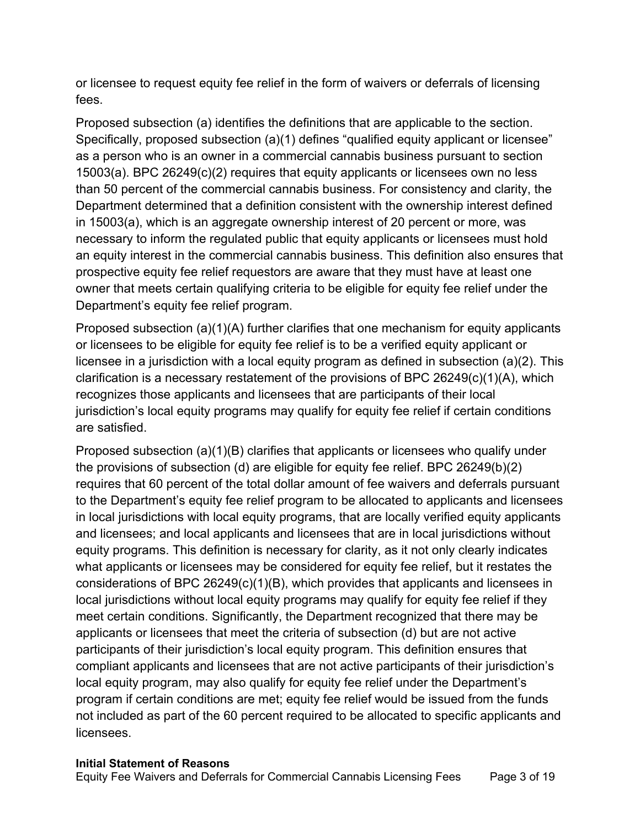or licensee to request equity fee relief in the form of waivers or deferrals of licensing fees.

Proposed subsection (a) identifies the definitions that are applicable to the section. Specifically, proposed subsection (a)(1) defines "qualified equity applicant or licensee" as a person who is an owner in a commercial cannabis business pursuant to section 15003(a). BPC 26249(c)(2) requires that equity applicants or licensees own no less than 50 percent of the commercial cannabis business. For consistency and clarity, the Department determined that a definition consistent with the ownership interest defined in 15003(a), which is an aggregate ownership interest of 20 percent or more, was necessary to inform the regulated public that equity applicants or licensees must hold an equity interest in the commercial cannabis business. This definition also ensures that prospective equity fee relief requestors are aware that they must have at least one owner that meets certain qualifying criteria to be eligible for equity fee relief under the Department's equity fee relief program.

Proposed subsection  $(a)(1)(A)$  further clarifies that one mechanism for equity applicants or licensees to be eligible for equity fee relief is to be a verified equity applicant or licensee in a jurisdiction with a local equity program as defined in subsection (a)(2). This clarification is a necessary restatement of the provisions of BPC 26249(c)(1)(A), which recognizes those applicants and licensees that are participants of their local jurisdiction's local equity programs may qualify for equity fee relief if certain conditions are satisfied.

Proposed subsection (a)(1)(B) clarifies that applicants or licensees who qualify under the provisions of subsection (d) are eligible for equity fee relief. BPC 26249(b)(2) requires that 60 percent of the total dollar amount of fee waivers and deferrals pursuant to the Department's equity fee relief program to be allocated to applicants and licensees in local jurisdictions with local equity programs, that are locally verified equity applicants and licensees; and local applicants and licensees that are in local jurisdictions without equity programs. This definition is necessary for clarity, as it not only clearly indicates what applicants or licensees may be considered for equity fee relief, but it restates the considerations of BPC 26249(c)(1)(B), which provides that applicants and licensees in local jurisdictions without local equity programs may qualify for equity fee relief if they meet certain conditions. Significantly, the Department recognized that there may be applicants or licensees that meet the criteria of subsection (d) but are not active participants of their jurisdiction's local equity program. This definition ensures that compliant applicants and licensees that are not active participants of their jurisdiction's local equity program, may also qualify for equity fee relief under the Department's program if certain conditions are met; equity fee relief would be issued from the funds not included as part of the 60 percent required to be allocated to specific applicants and licensees.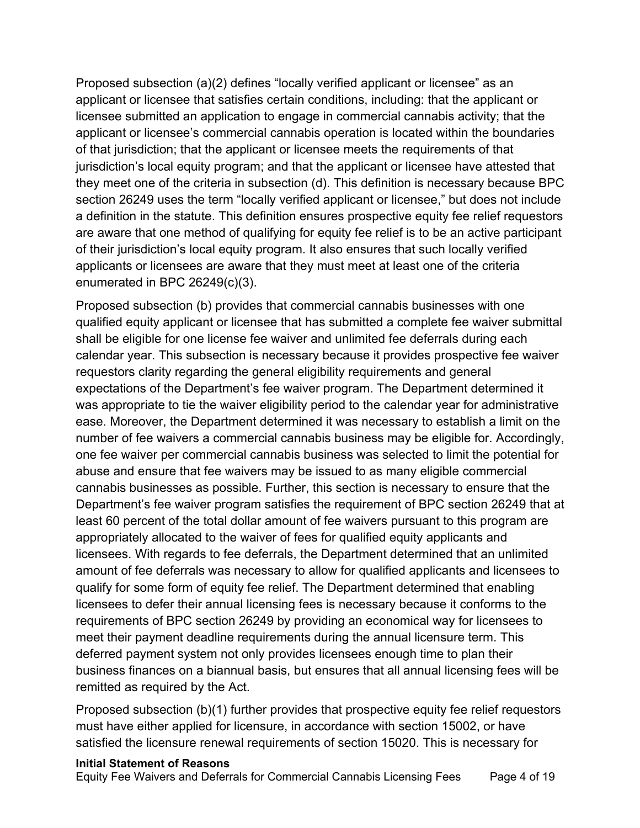Proposed subsection (a)(2) defines "locally verified applicant or licensee" as an applicant or licensee that satisfies certain conditions, including: that the applicant or licensee submitted an application to engage in commercial cannabis activity; that the applicant or licensee's commercial cannabis operation is located within the boundaries of that jurisdiction; that the applicant or licensee meets the requirements of that jurisdiction's local equity program; and that the applicant or licensee have attested that they meet one of the criteria in subsection (d). This definition is necessary because BPC section 26249 uses the term "locally verified applicant or licensee," but does not include a definition in the statute. This definition ensures prospective equity fee relief requestors are aware that one method of qualifying for equity fee relief is to be an active participant of their jurisdiction's local equity program. It also ensures that such locally verified applicants or licensees are aware that they must meet at least one of the criteria enumerated in BPC 26249(c)(3).

Proposed subsection (b) provides that commercial cannabis businesses with one qualified equity applicant or licensee that has submitted a complete fee waiver submittal shall be eligible for one license fee waiver and unlimited fee deferrals during each calendar year. This subsection is necessary because it provides prospective fee waiver requestors clarity regarding the general eligibility requirements and general expectations of the Department's fee waiver program. The Department determined it was appropriate to tie the waiver eligibility period to the calendar year for administrative ease. Moreover, the Department determined it was necessary to establish a limit on the number of fee waivers a commercial cannabis business may be eligible for. Accordingly, one fee waiver per commercial cannabis business was selected to limit the potential for abuse and ensure that fee waivers may be issued to as many eligible commercial cannabis businesses as possible. Further, this section is necessary to ensure that the Department's fee waiver program satisfies the requirement of BPC section 26249 that at least 60 percent of the total dollar amount of fee waivers pursuant to this program are appropriately allocated to the waiver of fees for qualified equity applicants and licensees. With regards to fee deferrals, the Department determined that an unlimited amount of fee deferrals was necessary to allow for qualified applicants and licensees to qualify for some form of equity fee relief. The Department determined that enabling licensees to defer their annual licensing fees is necessary because it conforms to the requirements of BPC section 26249 by providing an economical way for licensees to meet their payment deadline requirements during the annual licensure term. This deferred payment system not only provides licensees enough time to plan their business finances on a biannual basis, but ensures that all annual licensing fees will be remitted as required by the Act.

Proposed subsection (b)(1) further provides that prospective equity fee relief requestors must have either applied for licensure, in accordance with section 15002, or have satisfied the licensure renewal requirements of section 15020. This is necessary for

#### **Initial Statement of Reasons**

Equity Fee Waivers and Deferrals for Commercial Cannabis Licensing Fees Page 4 of 19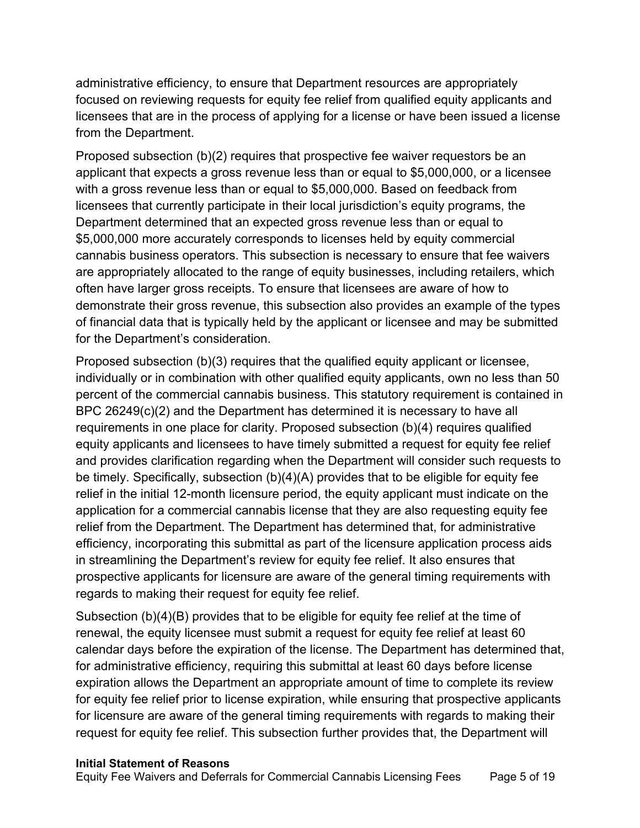administrative efficiency, to ensure that Department resources are appropriately focused on reviewing requests for equity fee relief from qualified equity applicants and licensees that are in the process of applying for a license or have been issued a license from the Department.

Proposed subsection (b)(2) requires that prospective fee waiver requestors be an applicant that expects a gross revenue less than or equal to \$5,000,000, or a licensee with a gross revenue less than or equal to \$5,000,000. Based on feedback from licensees that currently participate in their local jurisdiction's equity programs, the Department determined that an expected gross revenue less than or equal to \$5,000,000 more accurately corresponds to licenses held by equity commercial cannabis business operators. This subsection is necessary to ensure that fee waivers are appropriately allocated to the range of equity businesses, including retailers, which often have larger gross receipts. To ensure that licensees are aware of how to demonstrate their gross revenue, this subsection also provides an example of the types of financial data that is typically held by the applicant or licensee and may be submitted for the Department's consideration.

Proposed subsection (b)(3) requires that the qualified equity applicant or licensee, individually or in combination with other qualified equity applicants, own no less than 50 percent of the commercial cannabis business. This statutory requirement is contained in BPC 26249(c)(2) and the Department has determined it is necessary to have all requirements in one place for clarity. Proposed subsection (b)(4) requires qualified equity applicants and licensees to have timely submitted a request for equity fee relief and provides clarification regarding when the Department will consider such requests to be timely. Specifically, subsection (b)(4)(A) provides that to be eligible for equity fee relief in the initial 12-month licensure period, the equity applicant must indicate on the application for a commercial cannabis license that they are also requesting equity fee relief from the Department. The Department has determined that, for administrative efficiency, incorporating this submittal as part of the licensure application process aids in streamlining the Department's review for equity fee relief. It also ensures that prospective applicants for licensure are aware of the general timing requirements with regards to making their request for equity fee relief.

Subsection (b)(4)(B) provides that to be eligible for equity fee relief at the time of renewal, the equity licensee must submit a request for equity fee relief at least 60 calendar days before the expiration of the license. The Department has determined that, for administrative efficiency, requiring this submittal at least 60 days before license expiration allows the Department an appropriate amount of time to complete its review for equity fee relief prior to license expiration, while ensuring that prospective applicants for licensure are aware of the general timing requirements with regards to making their request for equity fee relief. This subsection further provides that, the Department will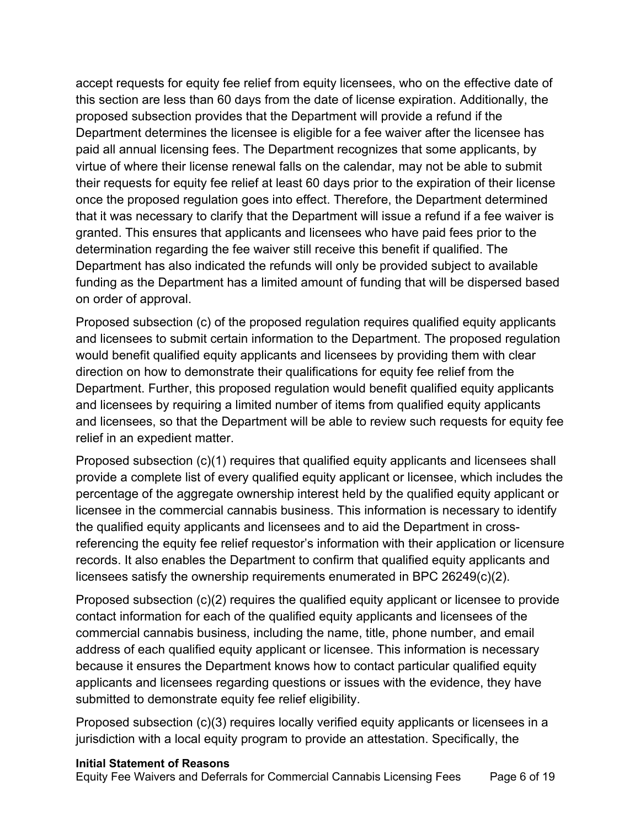accept requests for equity fee relief from equity licensees, who on the effective date of this section are less than 60 days from the date of license expiration. Additionally, the proposed subsection provides that the Department will provide a refund if the Department determines the licensee is eligible for a fee waiver after the licensee has paid all annual licensing fees. The Department recognizes that some applicants, by virtue of where their license renewal falls on the calendar, may not be able to submit their requests for equity fee relief at least 60 days prior to the expiration of their license once the proposed regulation goes into effect. Therefore, the Department determined that it was necessary to clarify that the Department will issue a refund if a fee waiver is granted. This ensures that applicants and licensees who have paid fees prior to the determination regarding the fee waiver still receive this benefit if qualified. The Department has also indicated the refunds will only be provided subject to available funding as the Department has a limited amount of funding that will be dispersed based on order of approval.

Proposed subsection (c) of the proposed regulation requires qualified equity applicants and licensees to submit certain information to the Department. The proposed regulation would benefit qualified equity applicants and licensees by providing them with clear direction on how to demonstrate their qualifications for equity fee relief from the Department. Further, this proposed regulation would benefit qualified equity applicants and licensees by requiring a limited number of items from qualified equity applicants and licensees, so that the Department will be able to review such requests for equity fee relief in an expedient matter.

Proposed subsection (c)(1) requires that qualified equity applicants and licensees shall provide a complete list of every qualified equity applicant or licensee, which includes the percentage of the aggregate ownership interest held by the qualified equity applicant or licensee in the commercial cannabis business. This information is necessary to identify the qualified equity applicants and licensees and to aid the Department in crossreferencing the equity fee relief requestor's information with their application or licensure records. It also enables the Department to confirm that qualified equity applicants and licensees satisfy the ownership requirements enumerated in BPC 26249(c)(2).

Proposed subsection (c)(2) requires the qualified equity applicant or licensee to provide contact information for each of the qualified equity applicants and licensees of the commercial cannabis business, including the name, title, phone number, and email address of each qualified equity applicant or licensee. This information is necessary because it ensures the Department knows how to contact particular qualified equity applicants and licensees regarding questions or issues with the evidence, they have submitted to demonstrate equity fee relief eligibility.

Proposed subsection (c)(3) requires locally verified equity applicants or licensees in a jurisdiction with a local equity program to provide an attestation. Specifically, the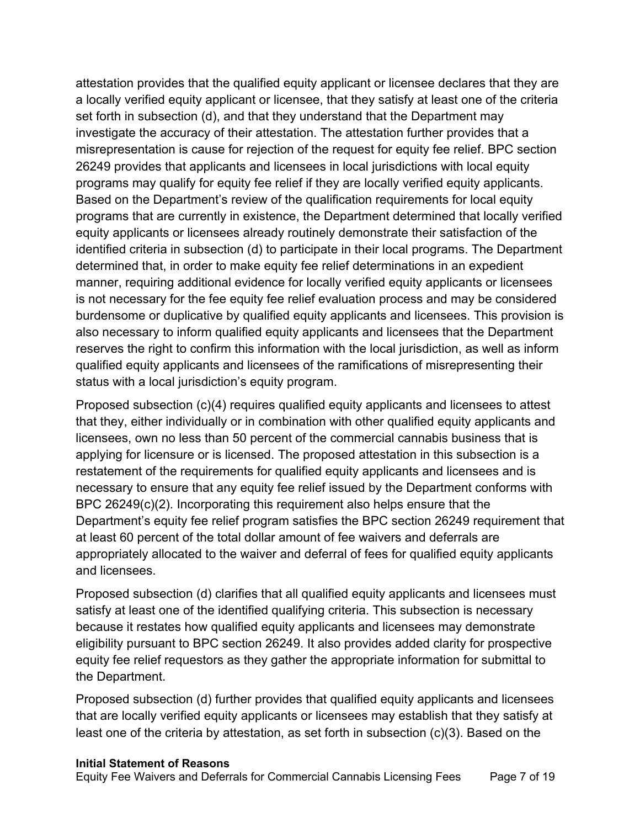attestation provides that the qualified equity applicant or licensee declares that they are a locally verified equity applicant or licensee, that they satisfy at least one of the criteria set forth in subsection (d), and that they understand that the Department may investigate the accuracy of their attestation. The attestation further provides that a misrepresentation is cause for rejection of the request for equity fee relief. BPC section 26249 provides that applicants and licensees in local jurisdictions with local equity programs may qualify for equity fee relief if they are locally verified equity applicants. Based on the Department's review of the qualification requirements for local equity programs that are currently in existence, the Department determined that locally verified equity applicants or licensees already routinely demonstrate their satisfaction of the identified criteria in subsection (d) to participate in their local programs. The Department determined that, in order to make equity fee relief determinations in an expedient manner, requiring additional evidence for locally verified equity applicants or licensees is not necessary for the fee equity fee relief evaluation process and may be considered burdensome or duplicative by qualified equity applicants and licensees. This provision is also necessary to inform qualified equity applicants and licensees that the Department reserves the right to confirm this information with the local jurisdiction, as well as inform qualified equity applicants and licensees of the ramifications of misrepresenting their status with a local jurisdiction's equity program.

Proposed subsection (c)(4) requires qualified equity applicants and licensees to attest that they, either individually or in combination with other qualified equity applicants and licensees, own no less than 50 percent of the commercial cannabis business that is applying for licensure or is licensed. The proposed attestation in this subsection is a restatement of the requirements for qualified equity applicants and licensees and is necessary to ensure that any equity fee relief issued by the Department conforms with BPC 26249(c)(2). Incorporating this requirement also helps ensure that the Department's equity fee relief program satisfies the BPC section 26249 requirement that at least 60 percent of the total dollar amount of fee waivers and deferrals are appropriately allocated to the waiver and deferral of fees for qualified equity applicants and licensees.

Proposed subsection (d) clarifies that all qualified equity applicants and licensees must satisfy at least one of the identified qualifying criteria. This subsection is necessary because it restates how qualified equity applicants and licensees may demonstrate eligibility pursuant to BPC section 26249. It also provides added clarity for prospective equity fee relief requestors as they gather the appropriate information for submittal to the Department.

Proposed subsection (d) further provides that qualified equity applicants and licensees that are locally verified equity applicants or licensees may establish that they satisfy at least one of the criteria by attestation, as set forth in subsection (c)(3). Based on the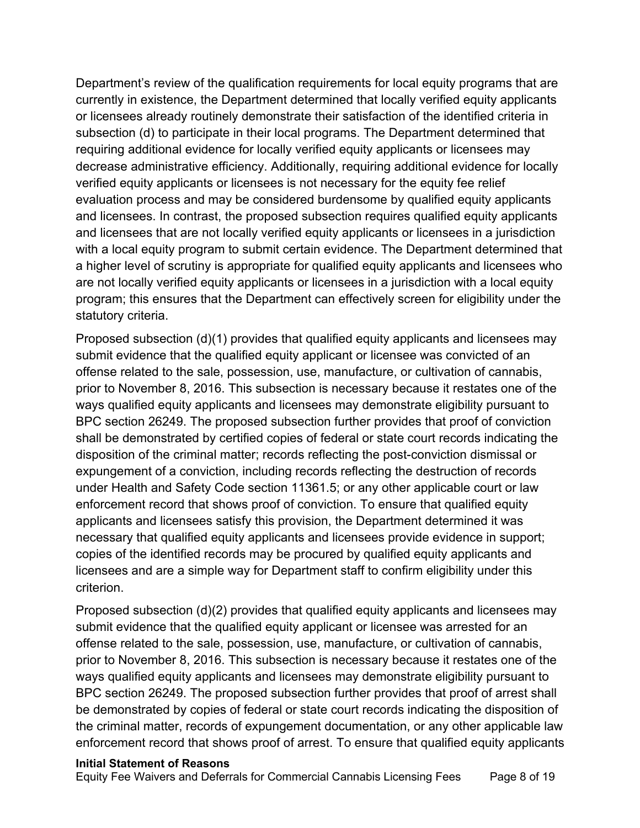Department's review of the qualification requirements for local equity programs that are currently in existence, the Department determined that locally verified equity applicants or licensees already routinely demonstrate their satisfaction of the identified criteria in subsection (d) to participate in their local programs. The Department determined that requiring additional evidence for locally verified equity applicants or licensees may decrease administrative efficiency. Additionally, requiring additional evidence for locally verified equity applicants or licensees is not necessary for the equity fee relief evaluation process and may be considered burdensome by qualified equity applicants and licensees. In contrast, the proposed subsection requires qualified equity applicants and licensees that are not locally verified equity applicants or licensees in a jurisdiction with a local equity program to submit certain evidence. The Department determined that a higher level of scrutiny is appropriate for qualified equity applicants and licensees who are not locally verified equity applicants or licensees in a jurisdiction with a local equity program; this ensures that the Department can effectively screen for eligibility under the statutory criteria.

Proposed subsection (d)(1) provides that qualified equity applicants and licensees may submit evidence that the qualified equity applicant or licensee was convicted of an offense related to the sale, possession, use, manufacture, or cultivation of cannabis, prior to November 8, 2016. This subsection is necessary because it restates one of the ways qualified equity applicants and licensees may demonstrate eligibility pursuant to BPC section 26249. The proposed subsection further provides that proof of conviction shall be demonstrated by certified copies of federal or state court records indicating the disposition of the criminal matter; records reflecting the post-conviction dismissal or expungement of a conviction, including records reflecting the destruction of records under Health and Safety Code section 11361.5; or any other applicable court or law enforcement record that shows proof of conviction. To ensure that qualified equity applicants and licensees satisfy this provision, the Department determined it was necessary that qualified equity applicants and licensees provide evidence in support; copies of the identified records may be procured by qualified equity applicants and licensees and are a simple way for Department staff to confirm eligibility under this criterion.

Proposed subsection (d)(2) provides that qualified equity applicants and licensees may submit evidence that the qualified equity applicant or licensee was arrested for an offense related to the sale, possession, use, manufacture, or cultivation of cannabis, prior to November 8, 2016. This subsection is necessary because it restates one of the ways qualified equity applicants and licensees may demonstrate eligibility pursuant to BPC section 26249. The proposed subsection further provides that proof of arrest shall be demonstrated by copies of federal or state court records indicating the disposition of the criminal matter, records of expungement documentation, or any other applicable law enforcement record that shows proof of arrest. To ensure that qualified equity applicants

#### **Initial Statement of Reasons**

Equity Fee Waivers and Deferrals for Commercial Cannabis Licensing Fees Page 8 of 19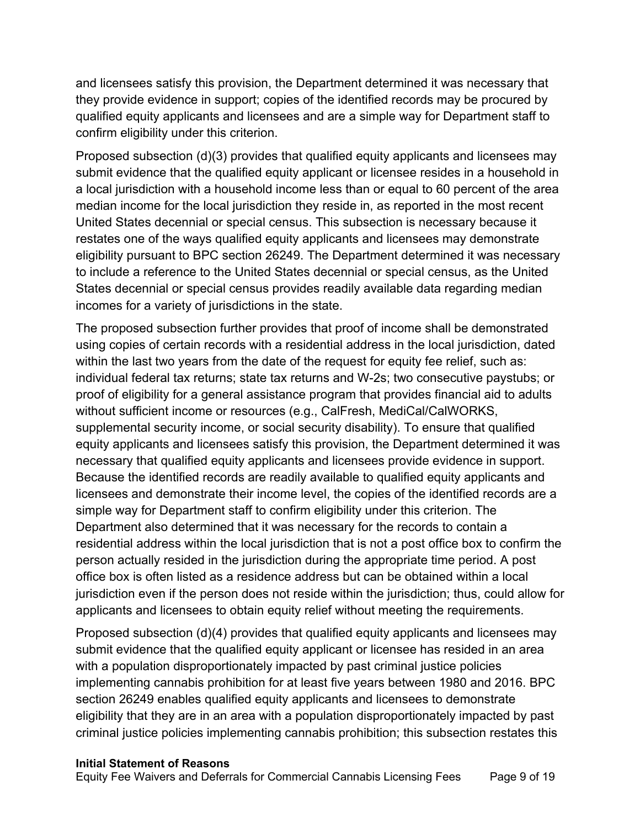and licensees satisfy this provision, the Department determined it was necessary that they provide evidence in support; copies of the identified records may be procured by qualified equity applicants and licensees and are a simple way for Department staff to confirm eligibility under this criterion.

Proposed subsection (d)(3) provides that qualified equity applicants and licensees may submit evidence that the qualified equity applicant or licensee resides in a household in a local jurisdiction with a household income less than or equal to 60 percent of the area median income for the local jurisdiction they reside in, as reported in the most recent United States decennial or special census. This subsection is necessary because it restates one of the ways qualified equity applicants and licensees may demonstrate eligibility pursuant to BPC section 26249. The Department determined it was necessary to include a reference to the United States decennial or special census, as the United States decennial or special census provides readily available data regarding median incomes for a variety of jurisdictions in the state.

The proposed subsection further provides that proof of income shall be demonstrated using copies of certain records with a residential address in the local jurisdiction, dated within the last two years from the date of the request for equity fee relief, such as: individual federal tax returns; state tax returns and W-2s; two consecutive paystubs; or proof of eligibility for a general assistance program that provides financial aid to adults without sufficient income or resources (e.g., CalFresh, MediCal/CalWORKS, supplemental security income, or social security disability). To ensure that qualified equity applicants and licensees satisfy this provision, the Department determined it was necessary that qualified equity applicants and licensees provide evidence in support. Because the identified records are readily available to qualified equity applicants and licensees and demonstrate their income level, the copies of the identified records are a simple way for Department staff to confirm eligibility under this criterion. The Department also determined that it was necessary for the records to contain a residential address within the local jurisdiction that is not a post office box to confirm the person actually resided in the jurisdiction during the appropriate time period. A post office box is often listed as a residence address but can be obtained within a local jurisdiction even if the person does not reside within the jurisdiction; thus, could allow for applicants and licensees to obtain equity relief without meeting the requirements.

Proposed subsection (d)(4) provides that qualified equity applicants and licensees may submit evidence that the qualified equity applicant or licensee has resided in an area with a population disproportionately impacted by past criminal justice policies implementing cannabis prohibition for at least five years between 1980 and 2016. BPC section 26249 enables qualified equity applicants and licensees to demonstrate eligibility that they are in an area with a population disproportionately impacted by past criminal justice policies implementing cannabis prohibition; this subsection restates this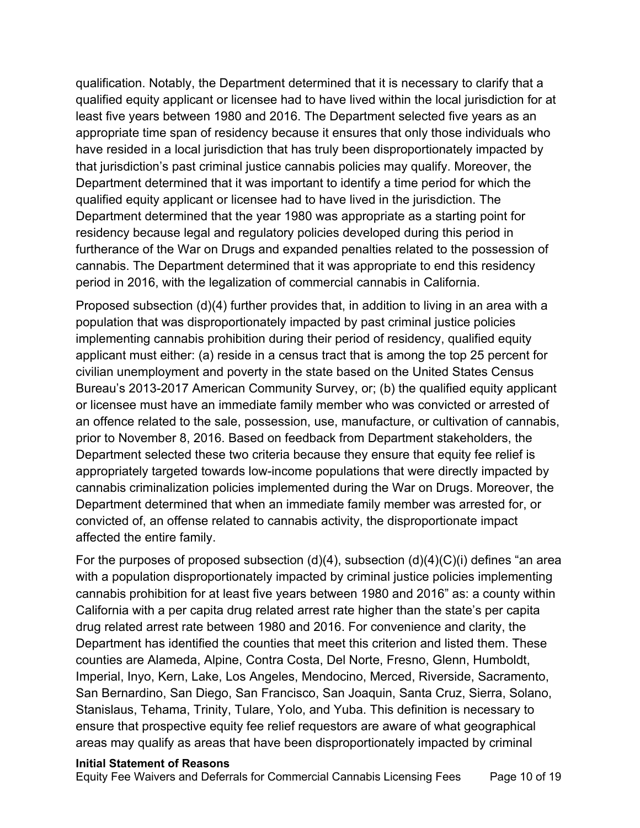qualification. Notably, the Department determined that it is necessary to clarify that a qualified equity applicant or licensee had to have lived within the local jurisdiction for at least five years between 1980 and 2016. The Department selected five years as an appropriate time span of residency because it ensures that only those individuals who have resided in a local jurisdiction that has truly been disproportionately impacted by that jurisdiction's past criminal justice cannabis policies may qualify. Moreover, the Department determined that it was important to identify a time period for which the qualified equity applicant or licensee had to have lived in the jurisdiction. The Department determined that the year 1980 was appropriate as a starting point for residency because legal and regulatory policies developed during this period in furtherance of the War on Drugs and expanded penalties related to the possession of cannabis. The Department determined that it was appropriate to end this residency period in 2016, with the legalization of commercial cannabis in California.

 Department selected these two criteria because they ensure that equity fee relief is Proposed subsection (d)(4) further provides that, in addition to living in an area with a population that was disproportionately impacted by past criminal justice policies implementing cannabis prohibition during their period of residency, qualified equity applicant must either: (a) reside in a census tract that is among the top 25 percent for civilian unemployment and poverty in the state based on the United States Census Bureau's 2013-2017 American Community Survey, or; (b) the qualified equity applicant or licensee must have an immediate family member who was convicted or arrested of an offence related to the sale, possession, use, manufacture, or cultivation of cannabis, prior to November 8, 2016. Based on feedback from Department stakeholders, the appropriately targeted towards low-income populations that were directly impacted by cannabis criminalization policies implemented during the War on Drugs. Moreover, the Department determined that when an immediate family member was arrested for, or convicted of, an offense related to cannabis activity, the disproportionate impact affected the entire family.

For the purposes of proposed subsection  $(d)(4)$ , subsection  $(d)(4)(C)(i)$  defines "an area with a population disproportionately impacted by criminal justice policies implementing cannabis prohibition for at least five years between 1980 and 2016" as: a county within California with a per capita drug related arrest rate higher than the state's per capita drug related arrest rate between 1980 and 2016. For convenience and clarity, the Department has identified the counties that meet this criterion and listed them. These counties are Alameda, Alpine, Contra Costa, Del Norte, Fresno, Glenn, Humboldt, Imperial, Inyo, Kern, Lake, Los Angeles, Mendocino, Merced, Riverside, Sacramento, San Bernardino, San Diego, San Francisco, San Joaquin, Santa Cruz, Sierra, Solano, Stanislaus, Tehama, Trinity, Tulare, Yolo, and Yuba. This definition is necessary to ensure that prospective equity fee relief requestors are aware of what geographical areas may qualify as areas that have been disproportionately impacted by criminal

#### **Initial Statement of Reasons**

Equity Fee Waivers and Deferrals for Commercial Cannabis Licensing Fees Page 10 of 19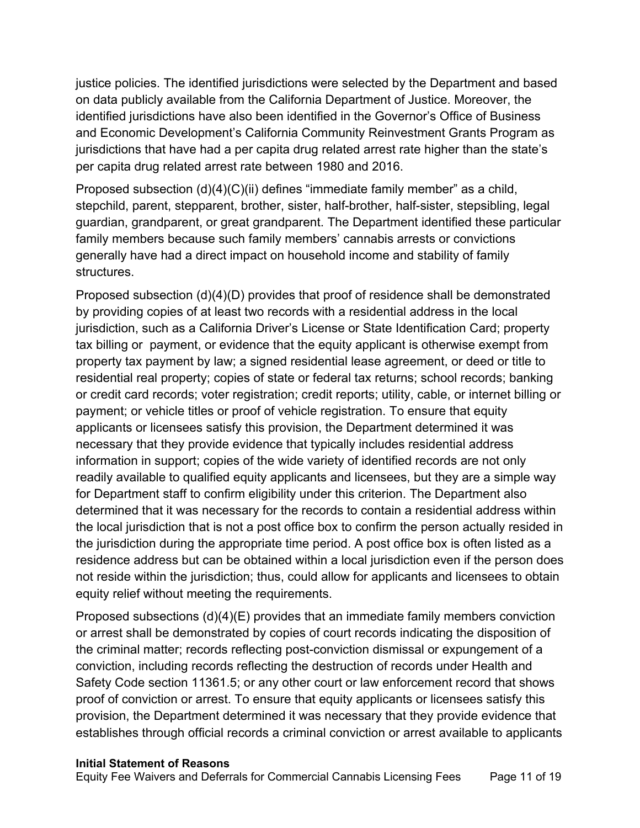justice policies. The identified jurisdictions were selected by the Department and based on data publicly available from the California Department of Justice. Moreover, the identified jurisdictions have also been identified in the Governor's Office of Business and Economic Development's California Community Reinvestment Grants Program as jurisdictions that have had a per capita drug related arrest rate higher than the state's per capita drug related arrest rate between 1980 and 2016.

Proposed subsection (d)(4)(C)(ii) defines "immediate family member" as a child, stepchild, parent, stepparent, brother, sister, half-brother, half-sister, stepsibling, legal guardian, grandparent, or great grandparent. The Department identified these particular family members because such family members' cannabis arrests or convictions generally have had a direct impact on household income and stability of family structures.

Proposed subsection (d)(4)(D) provides that proof of residence shall be demonstrated by providing copies of at least two records with a residential address in the local jurisdiction, such as a California Driver's License or State Identification Card; property tax billing or payment, or evidence that the equity applicant is otherwise exempt from property tax payment by law; a signed residential lease agreement, or deed or title to residential real property; copies of state or federal tax returns; school records; banking or credit card records; voter registration; credit reports; utility, cable, or internet billing or payment; or vehicle titles or proof of vehicle registration. To ensure that equity applicants or licensees satisfy this provision, the Department determined it was necessary that they provide evidence that typically includes residential address information in support; copies of the wide variety of identified records are not only readily available to qualified equity applicants and licensees, but they are a simple way for Department staff to confirm eligibility under this criterion. The Department also determined that it was necessary for the records to contain a residential address within the local jurisdiction that is not a post office box to confirm the person actually resided in the jurisdiction during the appropriate time period. A post office box is often listed as a residence address but can be obtained within a local jurisdiction even if the person does not reside within the jurisdiction; thus, could allow for applicants and licensees to obtain equity relief without meeting the requirements.

 the criminal matter; records reflecting post-conviction dismissal or expungement of a Proposed subsections (d)(4)(E) provides that an immediate family members conviction or arrest shall be demonstrated by copies of court records indicating the disposition of conviction, including records reflecting the destruction of records under Health and Safety Code section 11361.5; or any other court or law enforcement record that shows proof of conviction or arrest. To ensure that equity applicants or licensees satisfy this provision, the Department determined it was necessary that they provide evidence that establishes through official records a criminal conviction or arrest available to applicants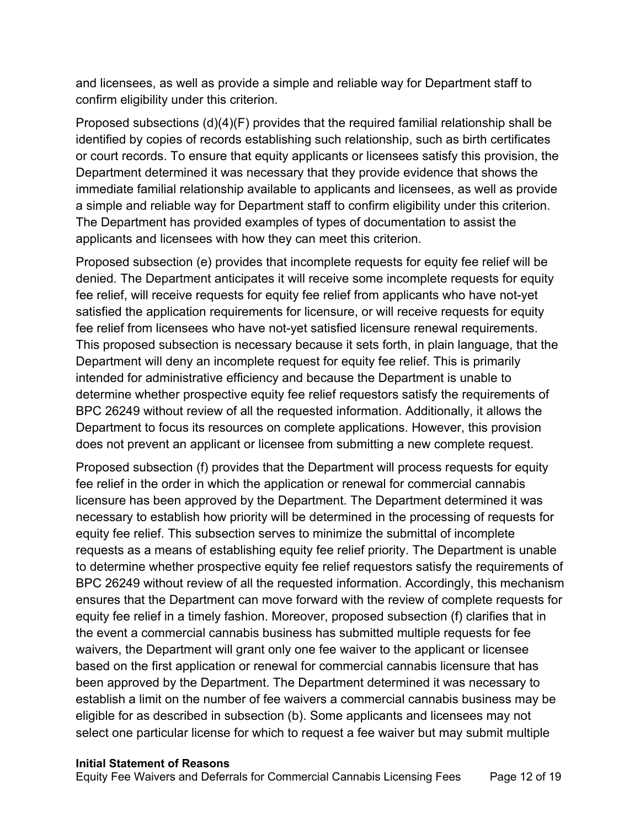and licensees, as well as provide a simple and reliable way for Department staff to confirm eligibility under this criterion.

Proposed subsections (d)(4)(F) provides that the required familial relationship shall be identified by copies of records establishing such relationship, such as birth certificates or court records. To ensure that equity applicants or licensees satisfy this provision, the Department determined it was necessary that they provide evidence that shows the immediate familial relationship available to applicants and licensees, as well as provide a simple and reliable way for Department staff to confirm eligibility under this criterion. The Department has provided examples of types of documentation to assist the applicants and licensees with how they can meet this criterion.

Proposed subsection (e) provides that incomplete requests for equity fee relief will be denied. The Department anticipates it will receive some incomplete requests for equity fee relief, will receive requests for equity fee relief from applicants who have not-yet satisfied the application requirements for licensure, or will receive requests for equity fee relief from licensees who have not-yet satisfied licensure renewal requirements. This proposed subsection is necessary because it sets forth, in plain language, that the Department will deny an incomplete request for equity fee relief. This is primarily intended for administrative efficiency and because the Department is unable to determine whether prospective equity fee relief requestors satisfy the requirements of BPC 26249 without review of all the requested information. Additionally, it allows the Department to focus its resources on complete applications. However, this provision does not prevent an applicant or licensee from submitting a new complete request.

Proposed subsection (f) provides that the Department will process requests for equity fee relief in the order in which the application or renewal for commercial cannabis licensure has been approved by the Department. The Department determined it was necessary to establish how priority will be determined in the processing of requests for equity fee relief. This subsection serves to minimize the submittal of incomplete requests as a means of establishing equity fee relief priority. The Department is unable to determine whether prospective equity fee relief requestors satisfy the requirements of BPC 26249 without review of all the requested information. Accordingly, this mechanism ensures that the Department can move forward with the review of complete requests for equity fee relief in a timely fashion. Moreover, proposed subsection (f) clarifies that in the event a commercial cannabis business has submitted multiple requests for fee waivers, the Department will grant only one fee waiver to the applicant or licensee based on the first application or renewal for commercial cannabis licensure that has been approved by the Department. The Department determined it was necessary to establish a limit on the number of fee waivers a commercial cannabis business may be eligible for as described in subsection (b). Some applicants and licensees may not select one particular license for which to request a fee waiver but may submit multiple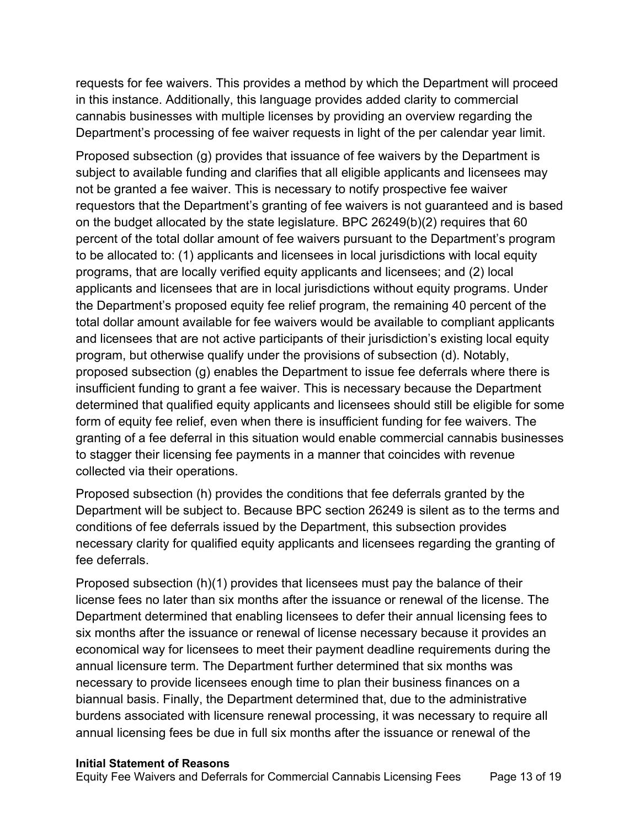Department's processing of fee waiver requests in light of the per calendar year limit. requests for fee waivers. This provides a method by which the Department will proceed in this instance. Additionally, this language provides added clarity to commercial cannabis businesses with multiple licenses by providing an overview regarding the

Proposed subsection (g) provides that issuance of fee waivers by the Department is subject to available funding and clarifies that all eligible applicants and licensees may not be granted a fee waiver. This is necessary to notify prospective fee waiver requestors that the Department's granting of fee waivers is not guaranteed and is based on the budget allocated by the state legislature. BPC 26249(b)(2) requires that 60 percent of the total dollar amount of fee waivers pursuant to the Department's program to be allocated to: (1) applicants and licensees in local jurisdictions with local equity programs, that are locally verified equity applicants and licensees; and (2) local applicants and licensees that are in local jurisdictions without equity programs. Under the Department's proposed equity fee relief program, the remaining 40 percent of the total dollar amount available for fee waivers would be available to compliant applicants and licensees that are not active participants of their jurisdiction's existing local equity program, but otherwise qualify under the provisions of subsection (d). Notably, proposed subsection (g) enables the Department to issue fee deferrals where there is insufficient funding to grant a fee waiver. This is necessary because the Department determined that qualified equity applicants and licensees should still be eligible for some form of equity fee relief, even when there is insufficient funding for fee waivers. The granting of a fee deferral in this situation would enable commercial cannabis businesses to stagger their licensing fee payments in a manner that coincides with revenue collected via their operations.

Proposed subsection (h) provides the conditions that fee deferrals granted by the Department will be subject to. Because BPC section 26249 is silent as to the terms and conditions of fee deferrals issued by the Department, this subsection provides necessary clarity for qualified equity applicants and licensees regarding the granting of fee deferrals.

Proposed subsection (h)(1) provides that licensees must pay the balance of their license fees no later than six months after the issuance or renewal of the license. The Department determined that enabling licensees to defer their annual licensing fees to six months after the issuance or renewal of license necessary because it provides an economical way for licensees to meet their payment deadline requirements during the annual licensure term. The Department further determined that six months was necessary to provide licensees enough time to plan their business finances on a biannual basis. Finally, the Department determined that, due to the administrative burdens associated with licensure renewal processing, it was necessary to require all annual licensing fees be due in full six months after the issuance or renewal of the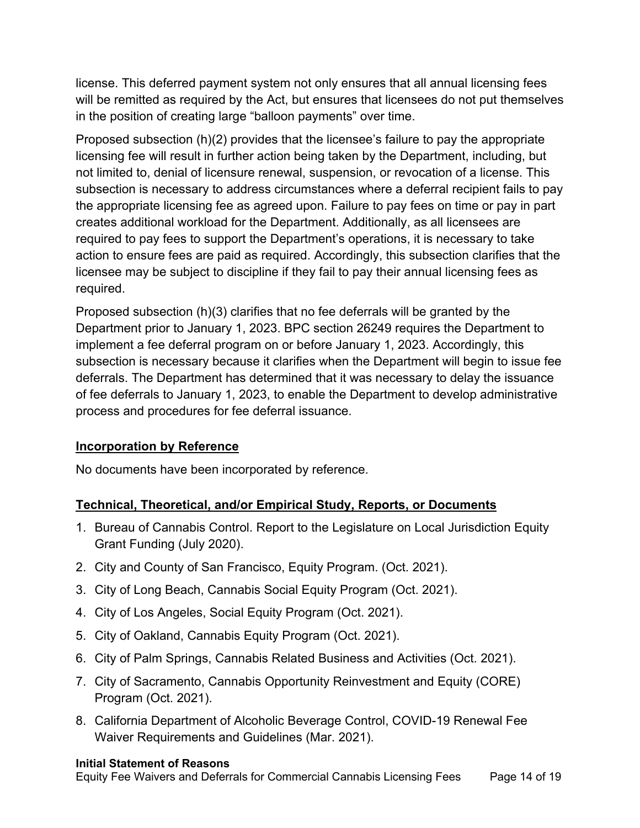license. This deferred payment system not only ensures that all annual licensing fees will be remitted as required by the Act, but ensures that licensees do not put themselves in the position of creating large "balloon payments" over time.

Proposed subsection (h)(2) provides that the licensee's failure to pay the appropriate licensing fee will result in further action being taken by the Department, including, but not limited to, denial of licensure renewal, suspension, or revocation of a license. This subsection is necessary to address circumstances where a deferral recipient fails to pay the appropriate licensing fee as agreed upon. Failure to pay fees on time or pay in part creates additional workload for the Department. Additionally, as all licensees are required to pay fees to support the Department's operations, it is necessary to take action to ensure fees are paid as required. Accordingly, this subsection clarifies that the licensee may be subject to discipline if they fail to pay their annual licensing fees as required.

Proposed subsection (h)(3) clarifies that no fee deferrals will be granted by the Department prior to January 1, 2023. BPC section 26249 requires the Department to implement a fee deferral program on or before January 1, 2023. Accordingly, this subsection is necessary because it clarifies when the Department will begin to issue fee deferrals. The Department has determined that it was necessary to delay the issuance of fee deferrals to January 1, 2023, to enable the Department to develop administrative process and procedures for fee deferral issuance.

### **Incorporation by Reference**

No documents have been incorporated by reference.

### **Technical, Theoretical, and/or Empirical Study, Reports, or Documents**

- 1. Bureau of Cannabis Control. Report to the Legislature on Local Jurisdiction Equity Grant Funding (July 2020).
- 2. City and County of San Francisco, Equity Program. (Oct. 2021).
- 3. City of Long Beach, Cannabis Social Equity Program (Oct. 2021).
- 4. City of Los Angeles, Social Equity Program (Oct. 2021).
- 5. City of Oakland, Cannabis Equity Program (Oct. 2021).
- 6. City of Palm Springs, Cannabis Related Business and Activities (Oct. 2021).
- 7. City of Sacramento, Cannabis Opportunity Reinvestment and Equity (CORE) Program (Oct. 2021).
- 8. California Department of Alcoholic Beverage Control, COVID-19 Renewal Fee Waiver Requirements and Guidelines (Mar. 2021).

### **Initial Statement of Reasons**

Equity Fee Waivers and Deferrals for Commercial Cannabis Licensing Fees Page 14 of 19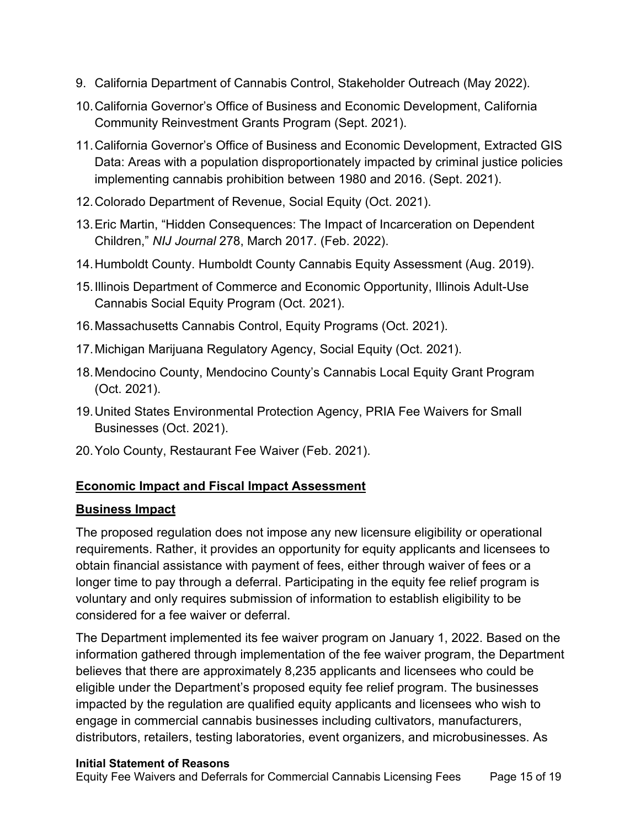- 9. California Department of Cannabis Control, Stakeholder Outreach (May 2022).
- 10.California Governor's Office of Business and Economic Development, California Community Reinvestment Grants Program (Sept. 2021).
- 11.California Governor's Office of Business and Economic Development, Extracted GIS Data: Areas with a population disproportionately impacted by criminal justice policies implementing cannabis prohibition between 1980 and 2016. (Sept. 2021).
- 12.Colorado Department of Revenue, Social Equity (Oct. 2021).
- 13.Eric Martin, "Hidden Consequences: The Impact of Incarceration on Dependent Children," *NIJ Journal* 278, March 2017. (Feb. 2022).
- 14.Humboldt County. Humboldt County Cannabis Equity Assessment (Aug. 2019).
- 15.Illinois Department of Commerce and Economic Opportunity, Illinois Adult-Use Cannabis Social Equity Program (Oct. 2021).
- 16.Massachusetts Cannabis Control, Equity Programs (Oct. 2021).
- 17.Michigan Marijuana Regulatory Agency, Social Equity (Oct. 2021).
- 18.Mendocino County, Mendocino County's Cannabis Local Equity Grant Program (Oct. 2021).
- 19.United States Environmental Protection Agency, PRIA Fee Waivers for Small Businesses (Oct. 2021).
- 20.Yolo County, Restaurant Fee Waiver (Feb. 2021).

### **Economic Impact and Fiscal Impact Assessment**

### **Business Impact**

The proposed regulation does not impose any new licensure eligibility or operational requirements. Rather, it provides an opportunity for equity applicants and licensees to obtain financial assistance with payment of fees, either through waiver of fees or a longer time to pay through a deferral. Participating in the equity fee relief program is voluntary and only requires submission of information to establish eligibility to be considered for a fee waiver or deferral.

The Department implemented its fee waiver program on January 1, 2022. Based on the information gathered through implementation of the fee waiver program, the Department believes that there are approximately 8,235 applicants and licensees who could be eligible under the Department's proposed equity fee relief program. The businesses impacted by the regulation are qualified equity applicants and licensees who wish to engage in commercial cannabis businesses including cultivators, manufacturers, distributors, retailers, testing laboratories, event organizers, and microbusinesses. As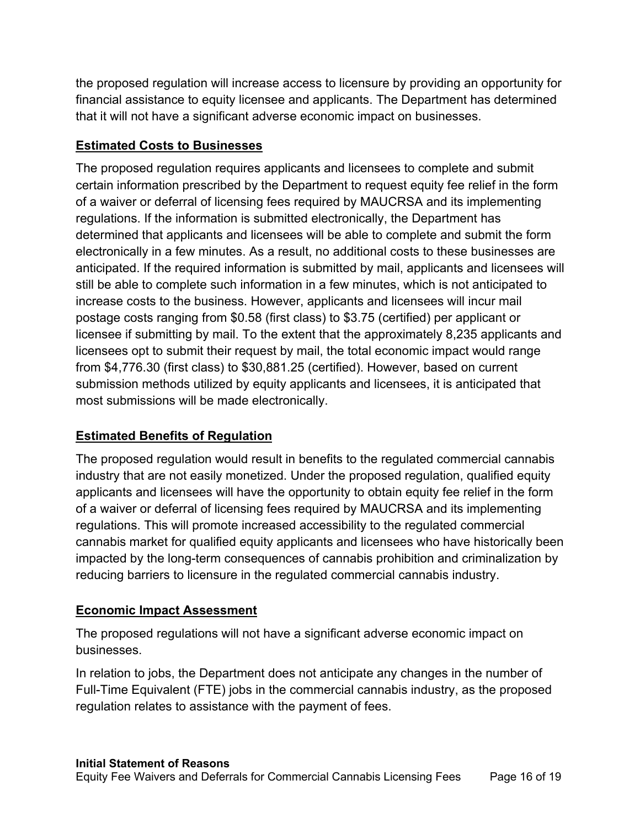the proposed regulation will increase access to licensure by providing an opportunity for financial assistance to equity licensee and applicants. The Department has determined that it will not have a significant adverse economic impact on businesses.

## **Estimated Costs to Businesses**

The proposed regulation requires applicants and licensees to complete and submit certain information prescribed by the Department to request equity fee relief in the form of a waiver or deferral of licensing fees required by MAUCRSA and its implementing regulations. If the information is submitted electronically, the Department has determined that applicants and licensees will be able to complete and submit the form electronically in a few minutes. As a result, no additional costs to these businesses are anticipated. If the required information is submitted by mail, applicants and licensees will still be able to complete such information in a few minutes, which is not anticipated to increase costs to the business. However, applicants and licensees will incur mail postage costs ranging from \$0.58 (first class) to \$3.75 (certified) per applicant or licensee if submitting by mail. To the extent that the approximately 8,235 applicants and licensees opt to submit their request by mail, the total economic impact would range from \$[4,776.30](https://4,776.30) (first class) to \$[30,881.25](https://30,881.25) (certified). However, based on current submission methods utilized by equity applicants and licensees, it is anticipated that most submissions will be made electronically.

# **Estimated Benefits of Regulation**

The proposed regulation would result in benefits to the regulated commercial cannabis industry that are not easily monetized. Under the proposed regulation, qualified equity applicants and licensees will have the opportunity to obtain equity fee relief in the form of a waiver or deferral of licensing fees required by MAUCRSA and its implementing regulations. This will promote increased accessibility to the regulated commercial cannabis market for qualified equity applicants and licensees who have historically been impacted by the long-term consequences of cannabis prohibition and criminalization by reducing barriers to licensure in the regulated commercial cannabis industry.

# **Economic Impact Assessment**

The proposed regulations will not have a significant adverse economic impact on businesses.

In relation to jobs, the Department does not anticipate any changes in the number of Full-Time Equivalent (FTE) jobs in the commercial cannabis industry, as the proposed regulation relates to assistance with the payment of fees.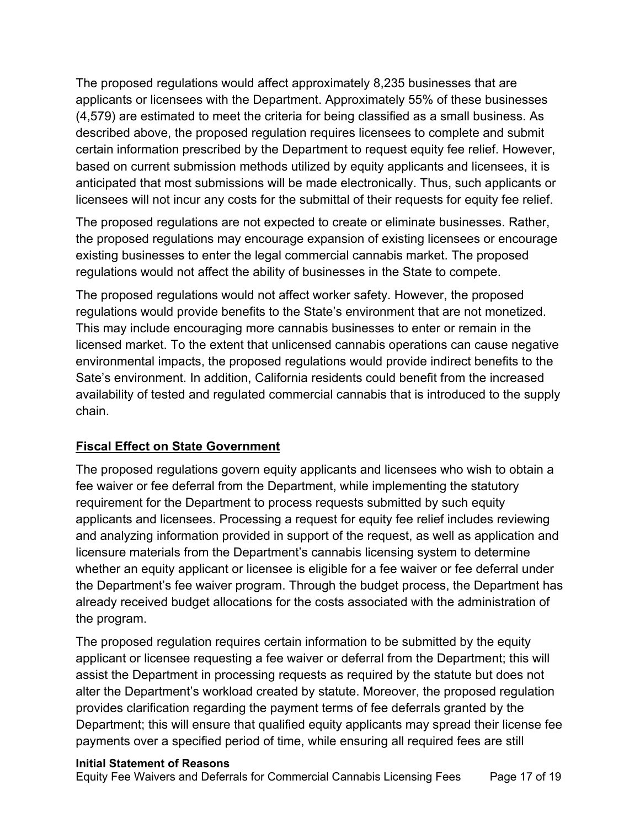The proposed regulations would affect approximately 8,235 businesses that are applicants or licensees with the Department. Approximately 55% of these businesses (4,579) are estimated to meet the criteria for being classified as a small business. As described above, the proposed regulation requires licensees to complete and submit certain information prescribed by the Department to request equity fee relief. However, based on current submission methods utilized by equity applicants and licensees, it is anticipated that most submissions will be made electronically. Thus, such applicants or licensees will not incur any costs for the submittal of their requests for equity fee relief.

The proposed regulations are not expected to create or eliminate businesses. Rather, the proposed regulations may encourage expansion of existing licensees or encourage existing businesses to enter the legal commercial cannabis market. The proposed regulations would not affect the ability of businesses in the State to compete.

The proposed regulations would not affect worker safety. However, the proposed regulations would provide benefits to the State's environment that are not monetized. This may include encouraging more cannabis businesses to enter or remain in the licensed market. To the extent that unlicensed cannabis operations can cause negative environmental impacts, the proposed regulations would provide indirect benefits to the Sate's environment. In addition, California residents could benefit from the increased availability of tested and regulated commercial cannabis that is introduced to the supply chain.

### **Fiscal Effect on State Government**

The proposed regulations govern equity applicants and licensees who wish to obtain a fee waiver or fee deferral from the Department, while implementing the statutory requirement for the Department to process requests submitted by such equity applicants and licensees. Processing a request for equity fee relief includes reviewing and analyzing information provided in support of the request, as well as application and licensure materials from the Department's cannabis licensing system to determine whether an equity applicant or licensee is eligible for a fee waiver or fee deferral under the Department's fee waiver program. Through the budget process, the Department has already received budget allocations for the costs associated with the administration of the program.

The proposed regulation requires certain information to be submitted by the equity applicant or licensee requesting a fee waiver or deferral from the Department; this will assist the Department in processing requests as required by the statute but does not alter the Department's workload created by statute. Moreover, the proposed regulation provides clarification regarding the payment terms of fee deferrals granted by the Department; this will ensure that qualified equity applicants may spread their license fee payments over a specified period of time, while ensuring all required fees are still

### **Initial Statement of Reasons**

Equity Fee Waivers and Deferrals for Commercial Cannabis Licensing Fees Page 17 of 19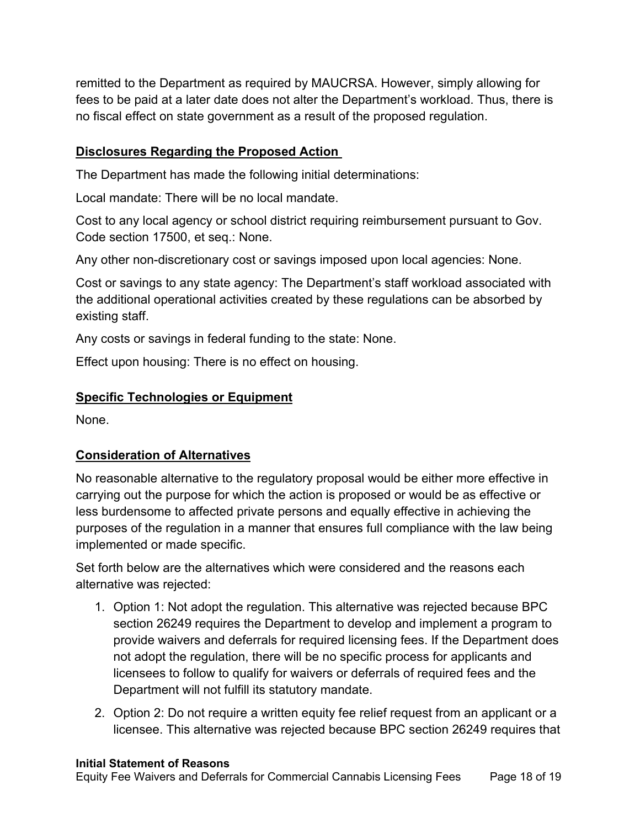remitted to the Department as required by MAUCRSA. However, simply allowing for fees to be paid at a later date does not alter the Department's workload. Thus, there is no fiscal effect on state government as a result of the proposed regulation.

### **Disclosures Regarding the Proposed Action**

The Department has made the following initial determinations:

Local mandate: There will be no local mandate.

Cost to any local agency or school district requiring reimbursement pursuant to Gov. Code section 17500, et seq.: None.

Any other non-discretionary cost or savings imposed upon local agencies: None.

Cost or savings to any state agency: The Department's staff workload associated with the additional operational activities created by these regulations can be absorbed by existing staff.

Any costs or savings in federal funding to the state: None.

Effect upon housing: There is no effect on housing.

# **Specific Technologies or Equipment**

None.

# **Consideration of Alternatives**

No reasonable alternative to the regulatory proposal would be either more effective in carrying out the purpose for which the action is proposed or would be as effective or less burdensome to affected private persons and equally effective in achieving the purposes of the regulation in a manner that ensures full compliance with the law being implemented or made specific.

Set forth below are the alternatives which were considered and the reasons each alternative was rejected:

- 1. Option 1: Not adopt the regulation. This alternative was rejected because BPC section 26249 requires the Department to develop and implement a program to provide waivers and deferrals for required licensing fees. If the Department does not adopt the regulation, there will be no specific process for applicants and licensees to follow to qualify for waivers or deferrals of required fees and the Department will not fulfill its statutory mandate.
- 2. Option 2: Do not require a written equity fee relief request from an applicant or a licensee. This alternative was rejected because BPC section 26249 requires that